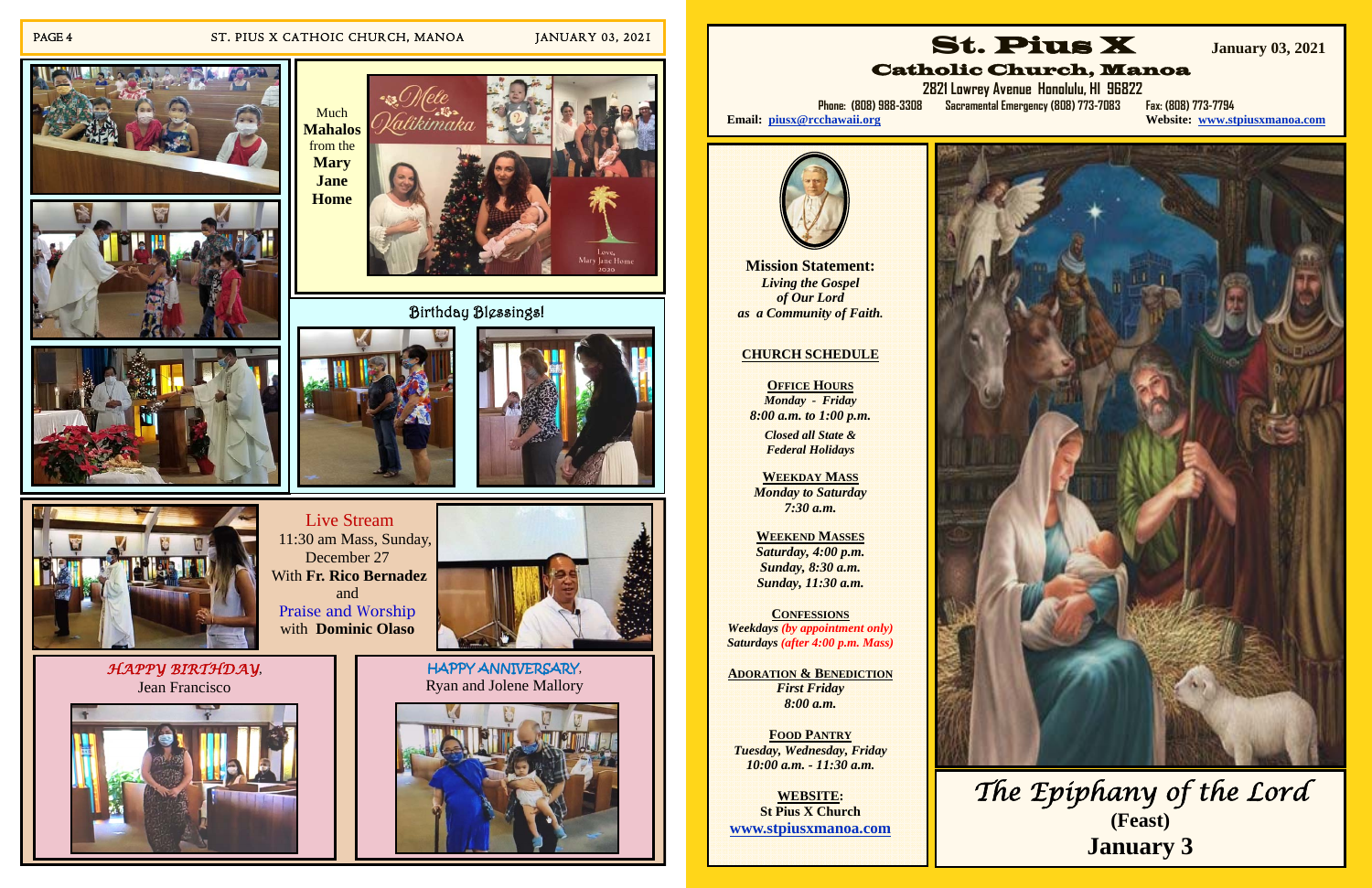#### PAGE 4 ST. PIUS X CATHOIC CHURCH, MANOA JANUARY 03, 2021



 Live Stream 11:30 am Mass, Sunday, December 27 With **Fr. Rico Bernadez**  and Praise and Worship with **Dominic Olaso**



*HAPPY BIRTHDAY*, Jean Francisco

HAPPY ANNIVERSARY, Ryan and Jolene Mallory













**website: www.stpiusxmanoa.com** 



**OFFICE HOURS** *Monday - Friday 8:00 a.m. to 1:00 p.m.* 

Catholic Church, Manoa

 **2821 Lowrey Avenue Honolulu, HI 96822 Phone: (808) 988-3308 Sacramental Emergency (808) 773-7083 Fax: (808) 773-7794** 

Email: piusx@rcchawaii.org



**Mission Statement:**  *Living the Gospel of Our Lord as a Community of Faith.* 

#### **CHURCH SCHEDULE**

*Closed all State & Federal Holidays* 

**WEEKDAY MASS**  *Monday to Saturday 7:30 a.m.* 

**WEEKEND MASSES**  *Saturday, 4:00 p.m. Sunday, 8:30 a.m. Sunday, 11:30 a.m.* 

**CONFESSIONS** *Weekdays (by appointment only) Saturdays (after 4:00 p.m. Mass)* 

**ADORATION & BENEDICTION***First Friday 8:00 a.m.* 

**FOOD PANTRY** *Tuesday, Wednesday, Friday 10:00 a.m. - 11:30 a.m.* 

**WEBSITE: St Pius X Church www.stpiusxmanoa.com** 

# *The Epiphany of the Lord*  **(Feast) January 3**